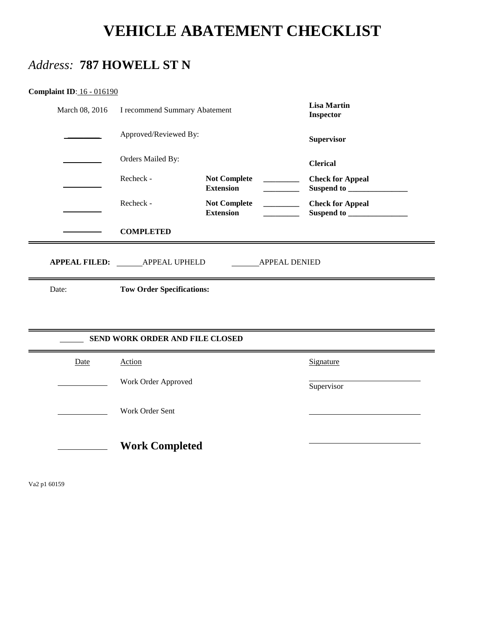# **VEHICLE ABATEMENT CHECKLIST**

# *Address:* **787 HOWELL ST N**

| <b>Complaint ID: 16 - 016190</b> |
|----------------------------------|
|----------------------------------|

| March 08, 2016 | I recommend Summary Abatement       |                                                                     | <b>Lisa Martin</b><br><b>Inspector</b> |
|----------------|-------------------------------------|---------------------------------------------------------------------|----------------------------------------|
|                | Approved/Reviewed By:               |                                                                     | Supervisor                             |
|                | Orders Mailed By:                   |                                                                     | <b>Clerical</b>                        |
|                | Recheck -                           | <b>Not Complete</b><br>and the company<br><b>Extension</b>          | <b>Check for Appeal</b>                |
|                | Recheck -                           | <b>Not Complete</b><br>$\overline{\phantom{a}}$<br><b>Extension</b> | <b>Check for Appeal</b>                |
|                | <b>COMPLETED</b>                    |                                                                     |                                        |
|                | APPEAL FILED: _______ APPEAL UPHELD | <b>APPEAL DENIED</b>                                                |                                        |
| Date:          | <b>Tow Order Specifications:</b>    |                                                                     |                                        |
|                |                                     |                                                                     |                                        |
|                |                                     |                                                                     |                                        |
|                | SEND WORK ORDER AND FILE CLOSED     |                                                                     |                                        |
| Date           | Action                              |                                                                     | Signature                              |
|                | Work Order Approved                 |                                                                     | Supervisor                             |
|                | Work Order Sent                     |                                                                     |                                        |

Va2 p1 60159